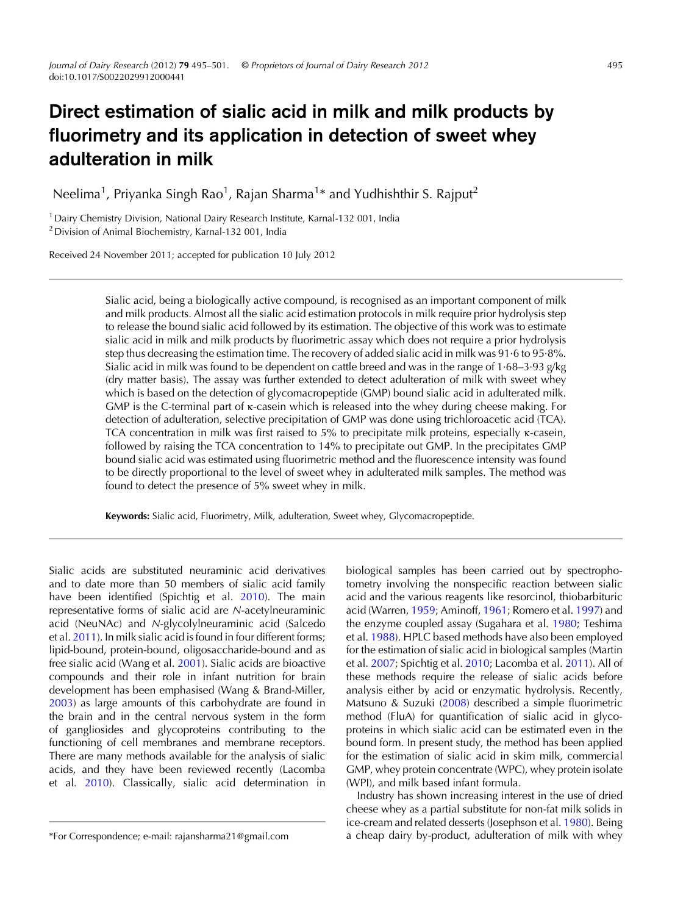# Direct estimation of sialic acid in milk and milk products by fluorimetry and its application in detection of sweet whey adulteration in milk

Neelima<sup>1</sup>, Priyanka Singh Rao<sup>1</sup>, Rajan Sharma<sup>1</sup>\* and Yudhishthir S. Rajput<sup>2</sup>

<sup>1</sup> Dairy Chemistry Division, National Dairy Research Institute, Karnal-132 001, India 2Division of Animal Biochemistry, Karnal-132 001, India

Received 24 November 2011; accepted for publication 10 July 2012

Sialic acid, being a biologically active compound, is recognised as an important component of milk and milk products. Almost all the sialic acid estimation protocols in milk require prior hydrolysis step to release the bound sialic acid followed by its estimation. The objective of this work was to estimate sialic acid in milk and milk products by fluorimetric assay which does not require a prior hydrolysis step thus decreasing the estimation time. The recovery of added sialic acid in milk was 91·6 to 95·8%. Sialic acid in milk was found to be dependent on cattle breed and was in the range of 1·68–3·93 g/kg (dry matter basis). The assay was further extended to detect adulteration of milk with sweet whey which is based on the detection of glycomacropeptide (GMP) bound sialic acid in adulterated milk. GMP is the C-terminal part of κ-casein which is released into the whey during cheese making. For detection of adulteration, selective precipitation of GMP was done using trichloroacetic acid (TCA). TCA concentration in milk was first raised to 5% to precipitate milk proteins, especially κ-casein, followed by raising the TCA concentration to 14% to precipitate out GMP. In the precipitates GMP bound sialic acid was estimated using fluorimetric method and the fluorescence intensity was found to be directly proportional to the level of sweet whey in adulterated milk samples. The method was found to detect the presence of 5% sweet whey in milk.

Keywords: Sialic acid, Fluorimetry, Milk, adulteration, Sweet whey, Glycomacropeptide.

Sialic acids are substituted neuraminic acid derivatives and to date more than 50 members of sialic acid family have been identified (Spichtig et al. [2010\)](#page-5-0). The main representative forms of sialic acid are N-acetylneuraminic acid (NeuNAc) and N-glycolylneuraminic acid (Salcedo et al. [2011](#page-5-0)). In milk sialic acid is found in four different forms; lipid-bound, protein-bound, oligosaccharide-bound and as free sialic acid (Wang et al. [2001](#page-6-0)). Sialic acids are bioactive compounds and their role in infant nutrition for brain development has been emphasised (Wang & Brand-Miller, [2003\)](#page-6-0) as large amounts of this carbohydrate are found in the brain and in the central nervous system in the form of gangliosides and glycoproteins contributing to the functioning of cell membranes and membrane receptors. There are many methods available for the analysis of sialic acids, and they have been reviewed recently (Lacomba et al. [2010\)](#page-5-0). Classically, sialic acid determination in biological samples has been carried out by spectrophotometry involving the nonspecific reaction between sialic acid and the various reagents like resorcinol, thiobarbituric acid (Warren, [1959](#page-6-0); Aminoff, [1961](#page-5-0); Romero et al. [1997\)](#page-5-0) and the enzyme coupled assay (Sugahara et al. [1980;](#page-5-0) Teshima et al. [1988\)](#page-5-0). HPLC based methods have also been employed for the estimation of sialic acid in biological samples (Martin et al. [2007](#page-5-0); Spichtig et al. [2010](#page-5-0); Lacomba et al. [2011\)](#page-5-0). All of these methods require the release of sialic acids before analysis either by acid or enzymatic hydrolysis. Recently, Matsuno & Suzuki ([2008](#page-5-0)) described a simple fluorimetric method (FluA) for quantification of sialic acid in glycoproteins in which sialic acid can be estimated even in the bound form. In present study, the method has been applied for the estimation of sialic acid in skim milk, commercial GMP, whey protein concentrate (WPC), whey protein isolate (WPI), and milk based infant formula.

Industry has shown increasing interest in the use of dried cheese whey as a partial substitute for non-fat milk solids in ice-cream and related desserts (Josephson et al. [1980](#page-5-0)). Being \*For Correspondence; e-mail: rajansharma21@gmail.com a cheap dairy by-product, adulteration of milk with whey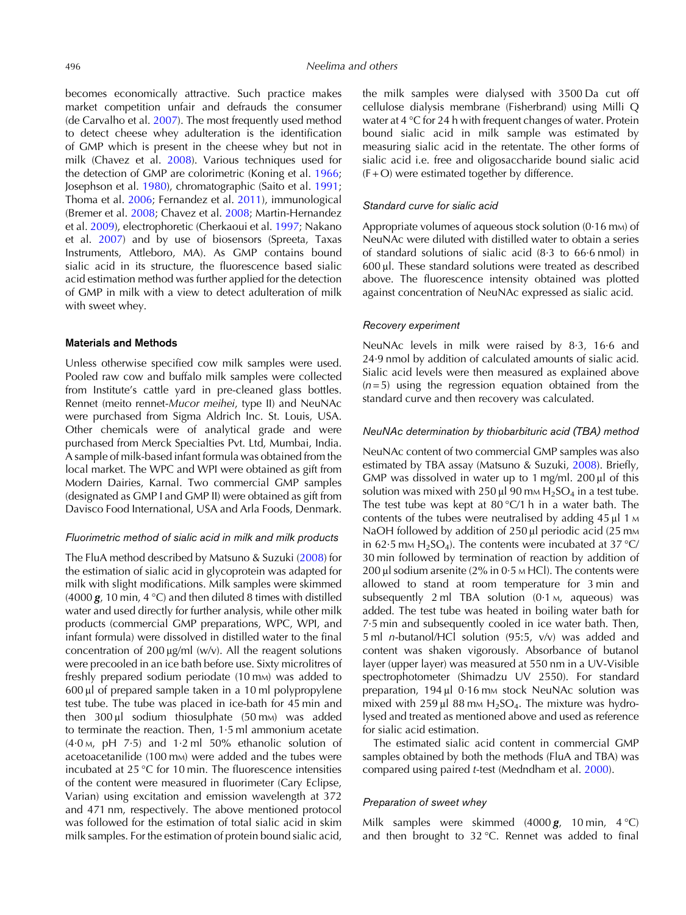becomes economically attractive. Such practice makes market competition unfair and defrauds the consumer (de Carvalho et al. [2007](#page-5-0)). The most frequently used method to detect cheese whey adulteration is the identification of GMP which is present in the cheese whey but not in milk (Chavez et al. [2008](#page-5-0)). Various techniques used for the detection of GMP are colorimetric (Koning et al. [1966](#page-5-0); Josephson et al. [1980\)](#page-5-0), chromatographic (Saito et al. [1991](#page-5-0); Thoma et al. [2006](#page-6-0); Fernandez et al. [2011](#page-5-0)), immunological (Bremer et al. [2008;](#page-5-0) Chavez et al. [2008;](#page-5-0) Martin-Hernandez et al. [2009](#page-5-0)), electrophoretic (Cherkaoui et al. [1997;](#page-5-0) Nakano et al. [2007](#page-5-0)) and by use of biosensors (Spreeta, Taxas Instruments, Attleboro, MA). As GMP contains bound sialic acid in its structure, the fluorescence based sialic acid estimation method was further applied for the detection of GMP in milk with a view to detect adulteration of milk with sweet whey.

### Materials and Methods

Unless otherwise specified cow milk samples were used. Pooled raw cow and buffalo milk samples were collected from Institute's cattle yard in pre-cleaned glass bottles. Rennet (meito rennet-Mucor meihei, type II) and NeuNAc were purchased from Sigma Aldrich Inc. St. Louis, USA. Other chemicals were of analytical grade and were purchased from Merck Specialties Pvt. Ltd, Mumbai, India. A sample of milk-based infant formula was obtained from the local market. The WPC and WPI were obtained as gift from Modern Dairies, Karnal. Two commercial GMP samples (designated as GMP I and GMP II) were obtained as gift from Davisco Food International, USA and Arla Foods, Denmark.

# Fluorimetric method of sialic acid in milk and milk products

The FluA method described by Matsuno & Suzuki [\(2008](#page-5-0)) for the estimation of sialic acid in glycoprotein was adapted for milk with slight modifications. Milk samples were skimmed (4000  $g$ , 10 min, 4 °C) and then diluted 8 times with distilled water and used directly for further analysis, while other milk products (commercial GMP preparations, WPC, WPI, and infant formula) were dissolved in distilled water to the final concentration of 200 μg/ml (w/v). All the reagent solutions were precooled in an ice bath before use. Sixty microlitres of freshly prepared sodium periodate (10 mm) was added to 600 μl of prepared sample taken in a 10 ml polypropylene test tube. The tube was placed in ice-bath for 45 min and then  $300 \mu$  sodium thiosulphate (50 mm) was added to terminate the reaction. Then, 1·5 ml ammonium acetate  $(4.0 \text{ M}, \text{pH}$  7.5) and 1.2 ml 50% ethanolic solution of acetoacetanilide (100 m<sub>M</sub>) were added and the tubes were incubated at 25 °C for 10 min. The fluorescence intensities of the content were measured in fluorimeter (Cary Eclipse, Varian) using excitation and emission wavelength at 372 and 471 nm, respectively. The above mentioned protocol was followed for the estimation of total sialic acid in skim milk samples. For the estimation of protein bound sialic acid,

the milk samples were dialysed with 3500 Da cut off cellulose dialysis membrane (Fisherbrand) using Milli Q water at 4 °C for 24 h with frequent changes of water. Protein bound sialic acid in milk sample was estimated by measuring sialic acid in the retentate. The other forms of sialic acid i.e. free and oligosaccharide bound sialic acid  $(F + O)$  were estimated together by difference.

# Standard curve for sialic acid

Appropriate volumes of aqueous stock solution  $(0.16 \text{ mm})$  of NeuNAc were diluted with distilled water to obtain a series of standard solutions of sialic acid (8·3 to 66·6 nmol) in 600 μl. These standard solutions were treated as described above. The fluorescence intensity obtained was plotted against concentration of NeuNAc expressed as sialic acid.

# Recovery experiment

NeuNAc levels in milk were raised by 8·3, 16·6 and 24·9 nmol by addition of calculated amounts of sialic acid. Sialic acid levels were then measured as explained above  $(n= 5)$  using the regression equation obtained from the standard curve and then recovery was calculated.

# NeuNAc determination by thiobarbituric acid (TBA) method

NeuNAc content of two commercial GMP samples was also estimated by TBA assay (Matsuno & Suzuki, [2008](#page-5-0)). Briefly, GMP was dissolved in water up to 1 mg/ml. 200 μl of this solution was mixed with 250 μl 90 mm  $H_2SO_4$  in a test tube. The test tube was kept at  $80^{\circ}$ C/1 h in a water bath. The contents of the tubes were neutralised by adding  $45 \mu$ l 1 M NaOH followed by addition of 250 μl periodic acid (25 mm in 62.5 mm H<sub>2</sub>SO<sub>4</sub>). The contents were incubated at 37 °C/ 30 min followed by termination of reaction by addition of 200 μl sodium arsenite (2% in 0·5 <sup>M</sup> HCl). The contents were allowed to stand at room temperature for 3 min and subsequently 2 ml TBA solution (0.1 m, aqueous) was added. The test tube was heated in boiling water bath for 7·5 min and subsequently cooled in ice water bath. Then, 5 ml n-butanol/HCl solution (95:5, v/v) was added and content was shaken vigorously. Absorbance of butanol layer (upper layer) was measured at 550 nm in a UV-Visible spectrophotometer (Shimadzu UV 2550). For standard preparation, 194 μl 0·16 mm stock NeuNAc solution was mixed with 259 μl 88 mm  $H_2SO_4$ . The mixture was hydrolysed and treated as mentioned above and used as reference for sialic acid estimation.

The estimated sialic acid content in commercial GMP samples obtained by both the methods (FluA and TBA) was compared using paired t-test (Medndham et al. [2000](#page-5-0)).

# Preparation of sweet whey

Milk samples were skimmed  $(4000 g, 10 min, 4°C)$ and then brought to 32 °C. Rennet was added to final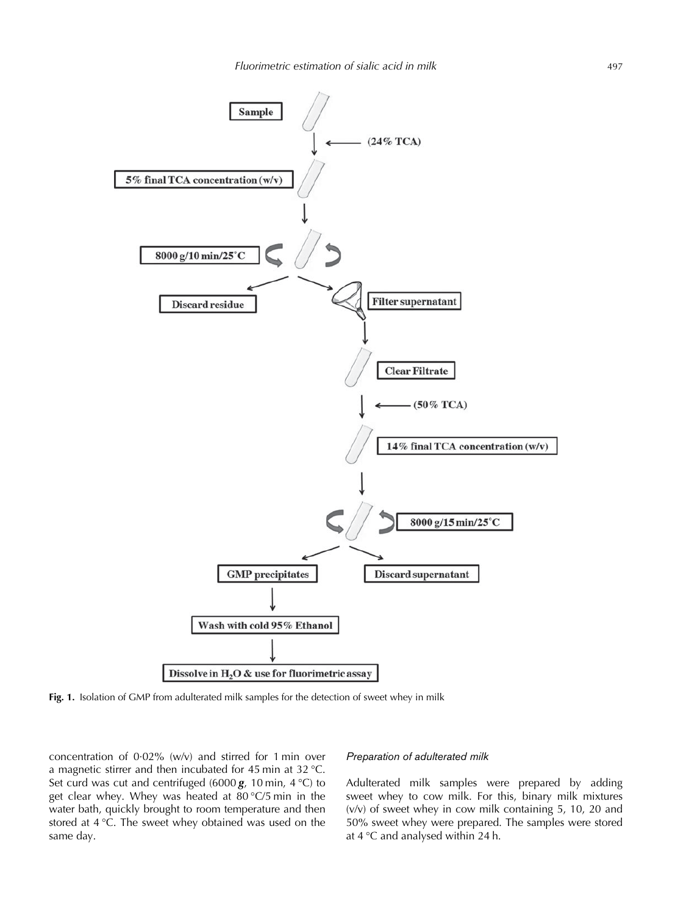<span id="page-2-0"></span>

Fig. 1. Isolation of GMP from adulterated milk samples for the detection of sweet whey in milk

concentration of 0·02% (w/v) and stirred for 1 min over a magnetic stirrer and then incubated for 45 min at 32 °C. Set curd was cut and centrifuged (6000  $g$ , 10 min, 4 °C) to get clear whey. Whey was heated at 80 °C/5 min in the water bath, quickly brought to room temperature and then stored at 4 °C. The sweet whey obtained was used on the same day.

# Preparation of adulterated milk

Adulterated milk samples were prepared by adding sweet whey to cow milk. For this, binary milk mixtures (v/v) of sweet whey in cow milk containing 5, 10, 20 and 50% sweet whey were prepared. The samples were stored at 4 °C and analysed within 24 h.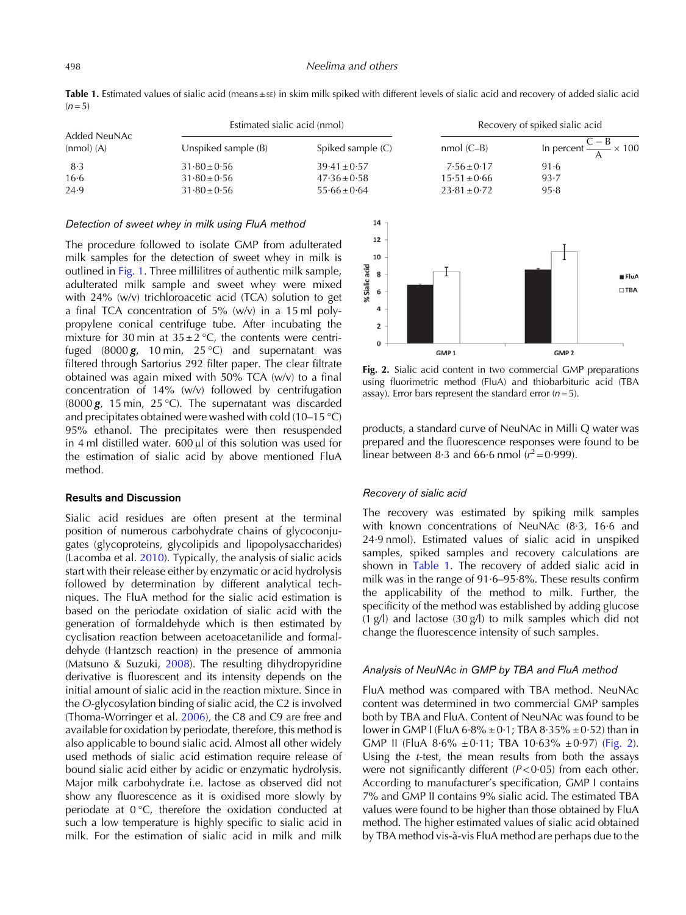Table 1. Estimated values of sialic acid (means ±sE) in skim milk spiked with different levels of sialic acid and recovery of added sialic acid  $(n= 5)$ 

| Added NeuNAc<br>$(nmol)$ $(A)$ | Estimated sialic acid (nmol) |                   | Recovery of spiked sialic acid |                                       |
|--------------------------------|------------------------------|-------------------|--------------------------------|---------------------------------------|
|                                | Unspiked sample $(B)$        | Spiked sample (C) | $nmol (C-B)$                   | In percent $\frac{C-B}{A} \times 100$ |
| 8.3                            | $31.80 \pm 0.56$             | $39.41 \pm 0.57$  | $7.56 \pm 0.17$                | 91.6                                  |
| 16.6                           | $31.80 \pm 0.56$             | $47.36 \pm 0.58$  | $15.51 \pm 0.66$               | 93.7                                  |
| 24.9                           | $31.80 \pm 0.56$             | $55.66 \pm 0.64$  | $23.81 \pm 0.72$               | 95.8                                  |

#### Detection of sweet whey in milk using FluA method

The procedure followed to isolate GMP from adulterated milk samples for the detection of sweet whey in milk is outlined in [Fig. 1](#page-2-0). Three millilitres of authentic milk sample, adulterated milk sample and sweet whey were mixed with 24% (w/v) trichloroacetic acid (TCA) solution to get a final TCA concentration of 5% (w/v) in a 15 ml polypropylene conical centrifuge tube. After incubating the mixture for 30 min at  $35 \pm 2$  °C, the contents were centrifuged (8000 $g$ , 10 min, 25 °C) and supernatant was filtered through Sartorius 292 filter paper. The clear filtrate obtained was again mixed with 50% TCA (w/v) to a final concentration of 14% (w/v) followed by centrifugation (8000  $g$ , 15 min, 25 °C). The supernatant was discarded and precipitates obtained were washed with cold (10–15 °C) 95% ethanol. The precipitates were then resuspended in 4 ml distilled water. 600 μl of this solution was used for the estimation of sialic acid by above mentioned FluA method.

# Results and Discussion

Sialic acid residues are often present at the terminal position of numerous carbohydrate chains of glycoconjugates (glycoproteins, glycolipids and lipopolysaccharides) (Lacomba et al. [2010](#page-5-0)). Typically, the analysis of sialic acids start with their release either by enzymatic or acid hydrolysis followed by determination by different analytical techniques. The FluA method for the sialic acid estimation is based on the periodate oxidation of sialic acid with the generation of formaldehyde which is then estimated by cyclisation reaction between acetoacetanilide and formaldehyde (Hantzsch reaction) in the presence of ammonia (Matsuno & Suzuki, [2008\)](#page-5-0). The resulting dihydropyridine derivative is fluorescent and its intensity depends on the initial amount of sialic acid in the reaction mixture. Since in the O-glycosylation binding of sialic acid, the C2 is involved (Thoma-Worringer et al. [2006](#page-6-0)), the C8 and C9 are free and available for oxidation by periodate, therefore, this method is also applicable to bound sialic acid. Almost all other widely used methods of sialic acid estimation require release of bound sialic acid either by acidic or enzymatic hydrolysis. Major milk carbohydrate i.e. lactose as observed did not show any fluorescence as it is oxidised more slowly by periodate at 0 °C, therefore the oxidation conducted at such a low temperature is highly specific to sialic acid in milk. For the estimation of sialic acid in milk and milk



Fig. 2. Sialic acid content in two commercial GMP preparations using fluorimetric method (FluA) and thiobarbituric acid (TBA assay). Error bars represent the standard error  $(n=5)$ .

products, a standard curve of NeuNAc in Milli Q water was prepared and the fluorescence responses were found to be linear between 8.3 and 66.6 nmol  $(r^2 = 0.999)$ .

# Recovery of sialic acid

The recovery was estimated by spiking milk samples with known concentrations of NeuNAc (8·3, 16·6 and 24·9 nmol). Estimated values of sialic acid in unspiked samples, spiked samples and recovery calculations are shown in Table 1. The recovery of added sialic acid in milk was in the range of 91·6–95·8%. These results confirm the applicability of the method to milk. Further, the specificity of the method was established by adding glucose (1 g/l) and lactose (30 g/l) to milk samples which did not change the fluorescence intensity of such samples.

# Analysis of NeuNAc in GMP by TBA and FluA method

FluA method was compared with TBA method. NeuNAc content was determined in two commercial GMP samples both by TBA and FluA. Content of NeuNAc was found to be lower in GMP I (FluA  $6.8\% \pm 0.1$ ; TBA  $8.35\% \pm 0.52$ ) than in GMP II (FluA  $8.6\% \pm 0.11$ ; TBA  $10.63\% \pm 0.97$ ) (Fig. 2). Using the t-test, the mean results from both the assays were not significantly different  $(P<0.05)$  from each other. According to manufacturer's specification, GMP I contains 7% and GMP II contains 9% sialic acid. The estimated TBA values were found to be higher than those obtained by FluA method. The higher estimated values of sialic acid obtained by TBA method vis-à-vis FluA method are perhaps due to the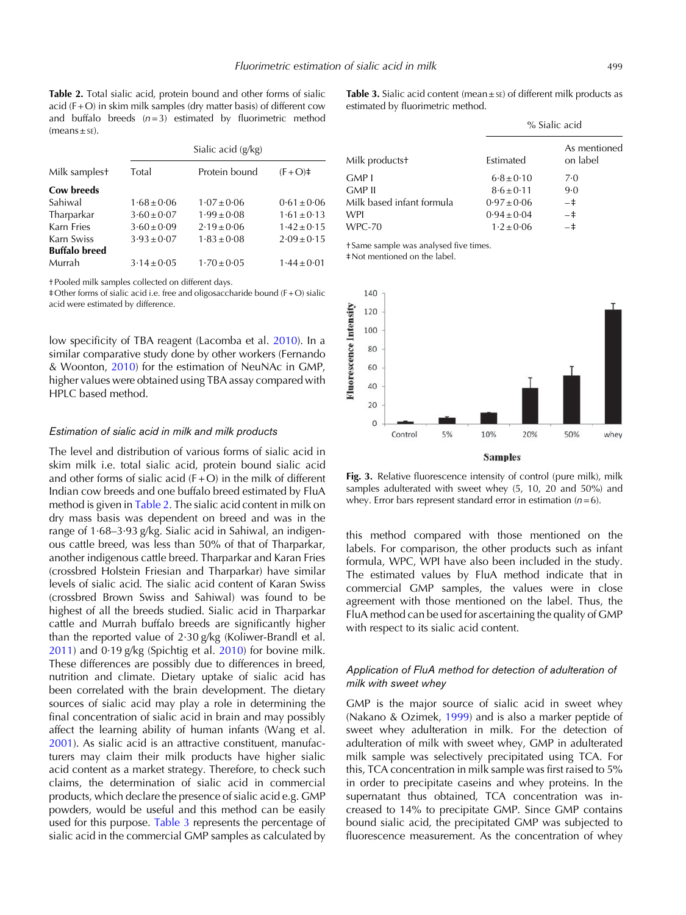<span id="page-4-0"></span>Table 2. Total sialic acid, protein bound and other forms of sialic acid  $(F + O)$  in skim milk samples (dry matter basis) of different cow and buffalo breeds  $(n=3)$  estimated by fluorimetric method  $(means ± sE).$ 

|                      | Sialic acid (g/kg) |                 |                 |  |
|----------------------|--------------------|-----------------|-----------------|--|
| Milk samplest        | Total              | Protein bound   | $(F + O)$ #     |  |
| Cow breeds           |                    |                 |                 |  |
| Sahiwal              | $1.68 \pm 0.06$    | $1.07 \pm 0.06$ | $0.61 \pm 0.06$ |  |
| Tharparkar           | $3.60 \pm 0.07$    | $1.99 \pm 0.08$ | $1.61 \pm 0.13$ |  |
| Karn Fries           | $3.60 \pm 0.09$    | $2.19 \pm 0.06$ | $1.42 \pm 0.15$ |  |
| Karn Swiss           | $3.93 \pm 0.07$    | $1.83 \pm 0.08$ | $2.09 \pm 0.15$ |  |
| <b>Buffalo breed</b> |                    |                 |                 |  |
| Murrah               | $3.14 \pm 0.05$    | $1.70 \pm 0.05$ | $1.44 \pm 0.01$ |  |
|                      |                    |                 |                 |  |

†Pooled milk samples collected on different days.

‡Other forms of sialic acid i.e. free and oligosaccharide bound (F +O) sialic acid were estimated by difference.

low specificity of TBA reagent (Lacomba et al. [2010](#page-5-0)). In a similar comparative study done by other workers (Fernando & Woonton, [2010\)](#page-5-0) for the estimation of NeuNAc in GMP, higher values were obtained using TBA assay compared with HPLC based method.

# Estimation of sialic acid in milk and milk products

The level and distribution of various forms of sialic acid in skim milk i.e. total sialic acid, protein bound sialic acid and other forms of sialic acid  $(F + O)$  in the milk of different Indian cow breeds and one buffalo breed estimated by FluA method is given in Table 2. The sialic acid content in milk on dry mass basis was dependent on breed and was in the range of 1·68–3·93 g/kg. Sialic acid in Sahiwal, an indigenous cattle breed, was less than 50% of that of Tharparkar, another indigenous cattle breed. Tharparkar and Karan Fries (crossbred Holstein Friesian and Tharparkar) have similar levels of sialic acid. The sialic acid content of Karan Swiss (crossbred Brown Swiss and Sahiwal) was found to be highest of all the breeds studied. Sialic acid in Tharparkar cattle and Murrah buffalo breeds are significantly higher than the reported value of 2·30 g/kg (Koliwer-Brandl et al. [2011\)](#page-5-0) and 0·19 g/kg (Spichtig et al. [2010](#page-5-0)) for bovine milk. These differences are possibly due to differences in breed, nutrition and climate. Dietary uptake of sialic acid has been correlated with the brain development. The dietary sources of sialic acid may play a role in determining the final concentration of sialic acid in brain and may possibly affect the learning ability of human infants (Wang et al. [2001\)](#page-6-0). As sialic acid is an attractive constituent, manufacturers may claim their milk products have higher sialic acid content as a market strategy. Therefore, to check such claims, the determination of sialic acid in commercial products, which declare the presence of sialic acid e.g. GMP powders, would be useful and this method can be easily used for this purpose. Table 3 represents the percentage of sialic acid in the commercial GMP samples as calculated by

**Table 3.** Sialic acid content (mean  $\pm$  sE) of different milk products as estimated by fluorimetric method.

| % Sialic acid   |                          |
|-----------------|--------------------------|
| Estimated       | As mentioned<br>on label |
| $6.8 \pm 0.10$  | 7·0                      |
| $8.6 \pm 0.11$  | 9.0                      |
| $0.97 \pm 0.06$ | $-+$                     |
| $0.94 \pm 0.04$ | $-+$                     |
| $1.2 \pm 0.06$  | $-+$                     |
|                 |                          |

† Same sample was analysed five times.

‡Not mentioned on the label.



Fig. 3. Relative fluorescence intensity of control (pure milk), milk samples adulterated with sweet whey (5, 10, 20 and 50%) and whey. Error bars represent standard error in estimation  $(n=6)$ .

this method compared with those mentioned on the labels. For comparison, the other products such as infant formula, WPC, WPI have also been included in the study. The estimated values by FluA method indicate that in commercial GMP samples, the values were in close agreement with those mentioned on the label. Thus, the FluA method can be used for ascertaining the quality of GMP with respect to its sialic acid content.

# Application of FluA method for detection of adulteration of milk with sweet whey

GMP is the major source of sialic acid in sweet whey (Nakano & Ozimek, [1999](#page-5-0)) and is also a marker peptide of sweet whey adulteration in milk. For the detection of adulteration of milk with sweet whey, GMP in adulterated milk sample was selectively precipitated using TCA. For this, TCA concentration in milk sample was first raised to 5% in order to precipitate caseins and whey proteins. In the supernatant thus obtained, TCA concentration was increased to 14% to precipitate GMP. Since GMP contains bound sialic acid, the precipitated GMP was subjected to fluorescence measurement. As the concentration of whey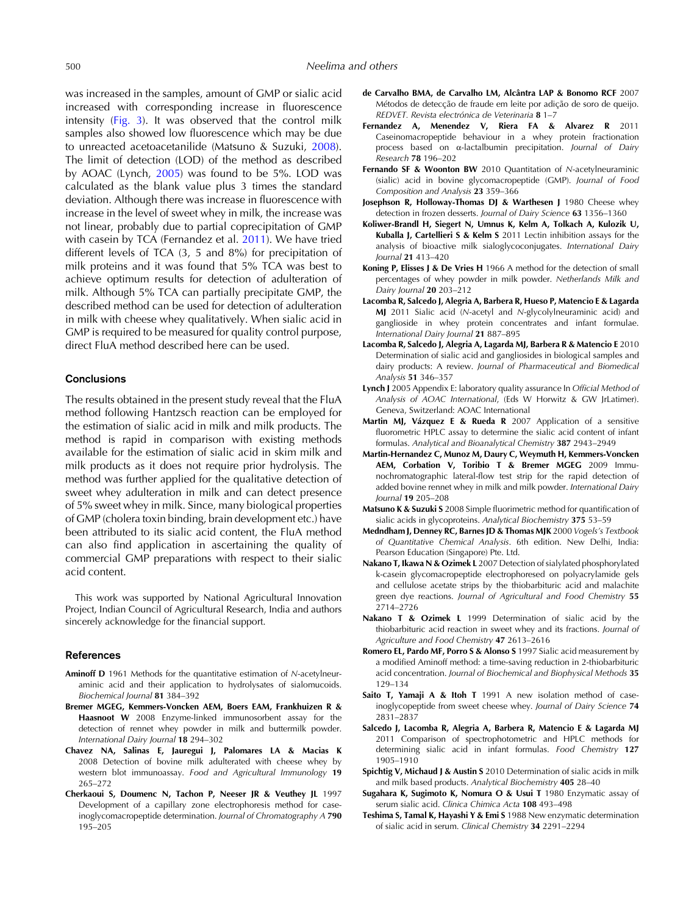<span id="page-5-0"></span>was increased in the samples, amount of GMP or sialic acid increased with corresponding increase in fluorescence intensity [\(Fig. 3\)](#page-4-0). It was observed that the control milk samples also showed low fluorescence which may be due to unreacted acetoacetanilide (Matsuno & Suzuki, 2008). The limit of detection (LOD) of the method as described by AOAC (Lynch, 2005) was found to be 5%. LOD was calculated as the blank value plus 3 times the standard deviation. Although there was increase in fluorescence with increase in the level of sweet whey in milk, the increase was not linear, probably due to partial coprecipitation of GMP with casein by TCA (Fernandez et al. 2011). We have tried different levels of TCA (3, 5 and 8%) for precipitation of milk proteins and it was found that 5% TCA was best to achieve optimum results for detection of adulteration of milk. Although 5% TCA can partially precipitate GMP, the described method can be used for detection of adulteration in milk with cheese whey qualitatively. When sialic acid in GMP is required to be measured for quality control purpose, direct FluA method described here can be used.

# **Conclusions**

The results obtained in the present study reveal that the FluA method following Hantzsch reaction can be employed for the estimation of sialic acid in milk and milk products. The method is rapid in comparison with existing methods available for the estimation of sialic acid in skim milk and milk products as it does not require prior hydrolysis. The method was further applied for the qualitative detection of sweet whey adulteration in milk and can detect presence of 5% sweet whey in milk. Since, many biological properties of GMP (cholera toxin binding, brain development etc.) have been attributed to its sialic acid content, the FluA method can also find application in ascertaining the quality of commercial GMP preparations with respect to their sialic acid content.

This work was supported by National Agricultural Innovation Project, Indian Council of Agricultural Research, India and authors sincerely acknowledge for the financial support.

## References

- Aminoff D 1961 Methods for the quantitative estimation of N-acetylneuraminic acid and their application to hydrolysates of sialomucoids. Biochemical Journal 81 384–392
- Bremer MGEG, Kemmers-Voncken AEM, Boers EAM, Frankhuizen R & Haasnoot W 2008 Enzyme-linked immunosorbent assay for the detection of rennet whey powder in milk and buttermilk powder. International Dairy Journal 18 294–302
- Chavez NA, Salinas E, Jauregui J, Palomares LA & Macias K 2008 Detection of bovine milk adulterated with cheese whey by western blot immunoassay. Food and Agricultural Immunology 19 265–272
- Cherkaoui S, Doumenc N, Tachon P, Neeser JR & Veuthey JL 1997 Development of a capillary zone electrophoresis method for caseinoglycomacropeptide determination. Journal of Chromatography A 790 195–205
- de Carvalho BMA, de Carvalho LM, Alcântra LAP & Bonomo RCF 2007 Métodos de detecção de fraude em leite por adição de soro de queijo. REDVET. Revista electrónica de Veterinaria 8 1–7
- Fernandez A, Menendez V, Riera FA & Alvarez R 2011 Caseinomacropeptide behaviour in a whey protein fractionation process based on α-lactalbumin precipitation. Journal of Dairy Research 78 196–202
- Fernando SF & Woonton BW 2010 Quantitation of N-acetylneuraminic (sialic) acid in bovine glycomacropeptide (GMP). Journal of Food Composition and Analysis 23 359–366
- Josephson R, Holloway-Thomas DJ & Warthesen J 1980 Cheese whey detection in frozen desserts. Journal of Dairy Science 63 1356–1360
- Koliwer-Brandl H, Siegert N, Umnus K, Kelm A, Tolkach A, Kulozik U, Kuballa J, Cartellieri S & Kelm S 2011 Lectin inhibition assays for the analysis of bioactive milk sialoglycoconjugates. International Dairy Journal 21 413–420
- Koning P, Elisses J & De Vries H 1966 A method for the detection of small percentages of whey powder in milk powder. Netherlands Milk and Dairy Journal 20 203-212
- Lacomba R, Salcedo J, Alegria A, Barbera R, Hueso P, Matencio E & Lagarda MJ 2011 Sialic acid (N-acetyl and N-glycolylneuraminic acid) and ganglioside in whey protein concentrates and infant formulae. International Dairy Journal 21 887–895
- Lacomba R, Salcedo J, Alegria A, Lagarda MJ, Barbera R & Matencio E 2010 Determination of sialic acid and gangliosides in biological samples and dairy products: A review. Journal of Pharmaceutical and Biomedical Analysis 51 346–357
- Lynch J 2005 Appendix E: laboratory quality assurance In Official Method of Analysis of AOAC International, (Eds W Horwitz & GW JrLatimer). Geneva, Switzerland: AOAC International
- Martin MJ, Vázquez E & Rueda R 2007 Application of a sensitive fluorometric HPLC assay to determine the sialic acid content of infant formulas. Analytical and Bioanalytical Chemistry 387 2943–2949
- Martin-Hernandez C, Munoz M, Daury C, Weymuth H, Kemmers-Voncken AEM, Corbation V, Toribio T & Bremer MGEG 2009 Immunochromatographic lateral-flow test strip for the rapid detection of added bovine rennet whey in milk and milk powder. International Dairy Journal 19 205–208
- Matsuno K & Suzuki S 2008 Simple fluorimetric method for quantification of sialic acids in glycoproteins. Analytical Biochemistry 375 53–59
- Medndham J, Denney RC, Barnes JD & Thomas MJK 2000 Vogels*'*s Textbook of Quantitative Chemical Analysis. 6th edition. New Delhi, India: Pearson Education (Singapore) Pte. Ltd.
- Nakano T, Ikawa N & Ozimek L 2007 Detection of sialylated phosphorylated k-casein glycomacropeptide electrophoresed on polyacrylamide gels and cellulose acetate strips by the thiobarbituric acid and malachite green dye reactions. Journal of Agricultural and Food Chemistry 55 2714–2726
- Nakano T & Ozimek L 1999 Determination of sialic acid by the thiobarbituric acid reaction in sweet whey and its fractions. Journal of Agriculture and Food Chemistry 47 2613–2616
- Romero EL, Pardo MF, Porro S & Alonso S 1997 Sialic acid measurement by a modified Aminoff method: a time-saving reduction in 2-thiobarbituric acid concentration. Journal of Biochemical and Biophysical Methods 35 129–134
- Saito T, Yamaji A & Itoh T 1991 A new isolation method of caseinoglycopeptide from sweet cheese whey. Journal of Dairy Science 74 2831–2837
- Salcedo J, Lacomba R, Alegria A, Barbera R, Matencio E & Lagarda MJ 2011 Comparison of spectrophotometric and HPLC methods for determining sialic acid in infant formulas. Food Chemistry 127 1905–1910
- Spichtig V, Michaud J & Austin S 2010 Determination of sialic acids in milk and milk based products. Analytical Biochemistry 405 28–40
- Sugahara K, Sugimoto K, Nomura O & Usui T 1980 Enzymatic assay of serum sialic acid. Clinica Chimica Acta 108 493–498
- Teshima S, Tamal K, Hayashi Y & Emi S 1988 New enzymatic determination of sialic acid in serum. Clinical Chemistry 34 2291–2294